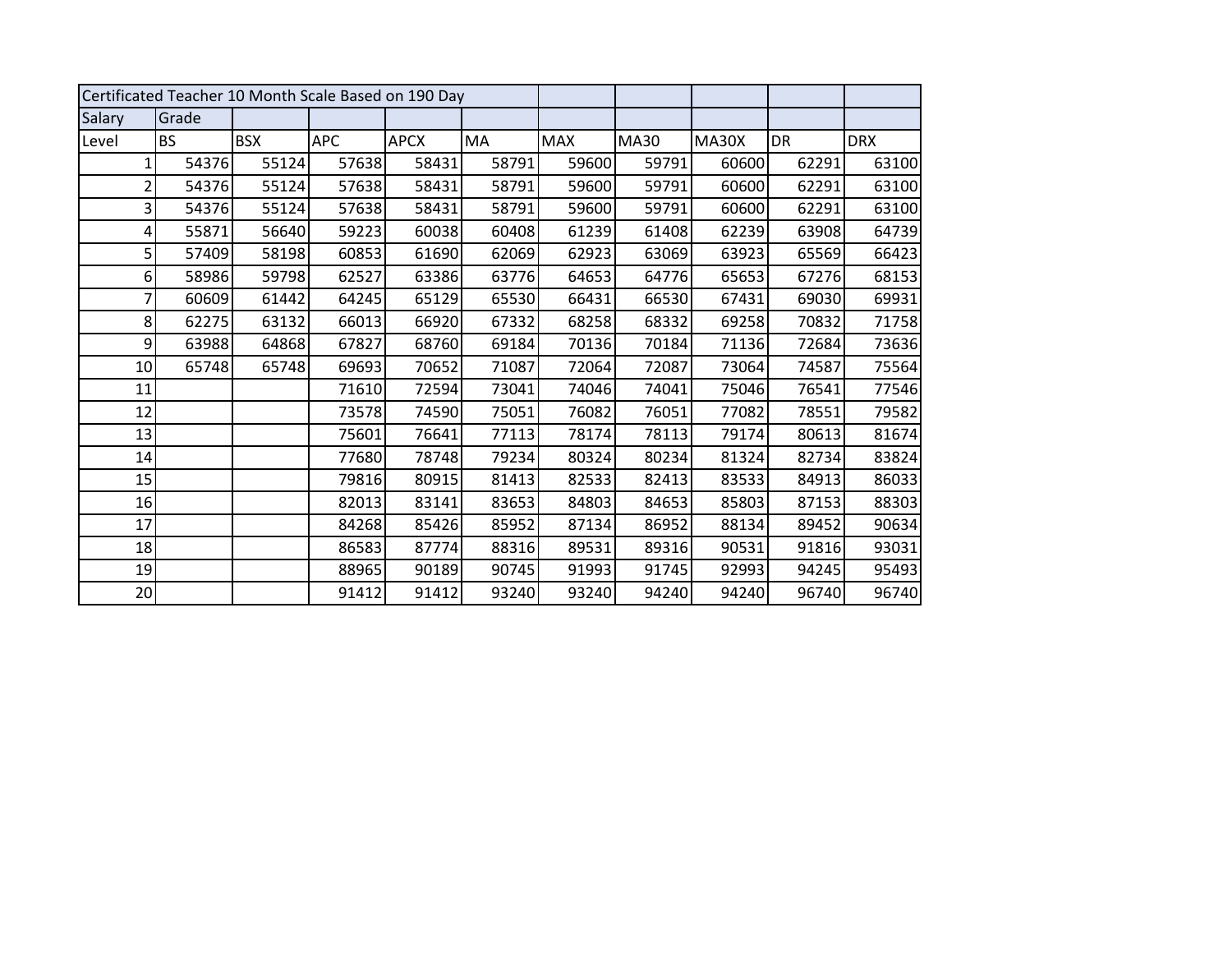| Certificated Teacher 10 Month Scale Based on 190 Day |           |            |            |             |           |            |             |       |       |            |
|------------------------------------------------------|-----------|------------|------------|-------------|-----------|------------|-------------|-------|-------|------------|
| Salary                                               | Grade     |            |            |             |           |            |             |       |       |            |
| Level                                                | <b>BS</b> | <b>BSX</b> | <b>APC</b> | <b>APCX</b> | <b>MA</b> | <b>MAX</b> | <b>MA30</b> | MA30X | DR    | <b>DRX</b> |
| 1                                                    | 54376     | 55124      | 57638      | 58431       | 58791     | 59600      | 59791       | 60600 | 62291 | 63100      |
| $\overline{2}$                                       | 54376     | 55124      | 57638      | 58431       | 58791     | 59600      | 59791       | 60600 | 62291 | 63100      |
| 3                                                    | 54376     | 55124      | 57638      | 58431       | 58791     | 59600      | 59791       | 60600 | 62291 | 63100      |
| 4                                                    | 55871     | 56640      | 59223      | 60038       | 60408     | 61239      | 61408       | 62239 | 63908 | 64739      |
| 5                                                    | 57409     | 58198      | 60853      | 61690       | 62069     | 62923      | 63069       | 63923 | 65569 | 66423      |
| 6                                                    | 58986     | 59798      | 62527      | 63386       | 63776     | 64653      | 64776       | 65653 | 67276 | 68153      |
| 7                                                    | 60609     | 61442      | 64245      | 65129       | 65530     | 66431      | 66530       | 67431 | 69030 | 69931      |
| 8                                                    | 62275     | 63132      | 66013      | 66920       | 67332     | 68258      | 68332       | 69258 | 70832 | 71758      |
| 9                                                    | 63988     | 64868      | 67827      | 68760       | 69184     | 70136      | 70184       | 71136 | 72684 | 73636      |
| 10                                                   | 65748     | 65748      | 69693      | 70652       | 71087     | 72064      | 72087       | 73064 | 74587 | 75564      |
| 11                                                   |           |            | 71610      | 72594       | 73041     | 74046      | 74041       | 75046 | 76541 | 77546      |
| 12                                                   |           |            | 73578      | 74590       | 75051     | 76082      | 76051       | 77082 | 78551 | 79582      |
| 13                                                   |           |            | 75601      | 76641       | 77113     | 78174      | 78113       | 79174 | 80613 | 81674      |
| 14                                                   |           |            | 77680      | 78748       | 79234     | 80324      | 80234       | 81324 | 82734 | 83824      |
| 15                                                   |           |            | 79816      | 80915       | 81413     | 82533      | 82413       | 83533 | 84913 | 86033      |
| 16                                                   |           |            | 82013      | 83141       | 83653     | 84803      | 84653       | 85803 | 87153 | 88303      |
| 17                                                   |           |            | 84268      | 85426       | 85952     | 87134      | 86952       | 88134 | 89452 | 90634      |
| 18                                                   |           |            | 86583      | 87774       | 88316     | 89531      | 89316       | 90531 | 91816 | 93031      |
| 19                                                   |           |            | 88965      | 90189       | 90745     | 91993      | 91745       | 92993 | 94245 | 95493      |
| 20                                                   |           |            | 91412      | 91412       | 93240     | 93240      | 94240       | 94240 | 96740 | 96740      |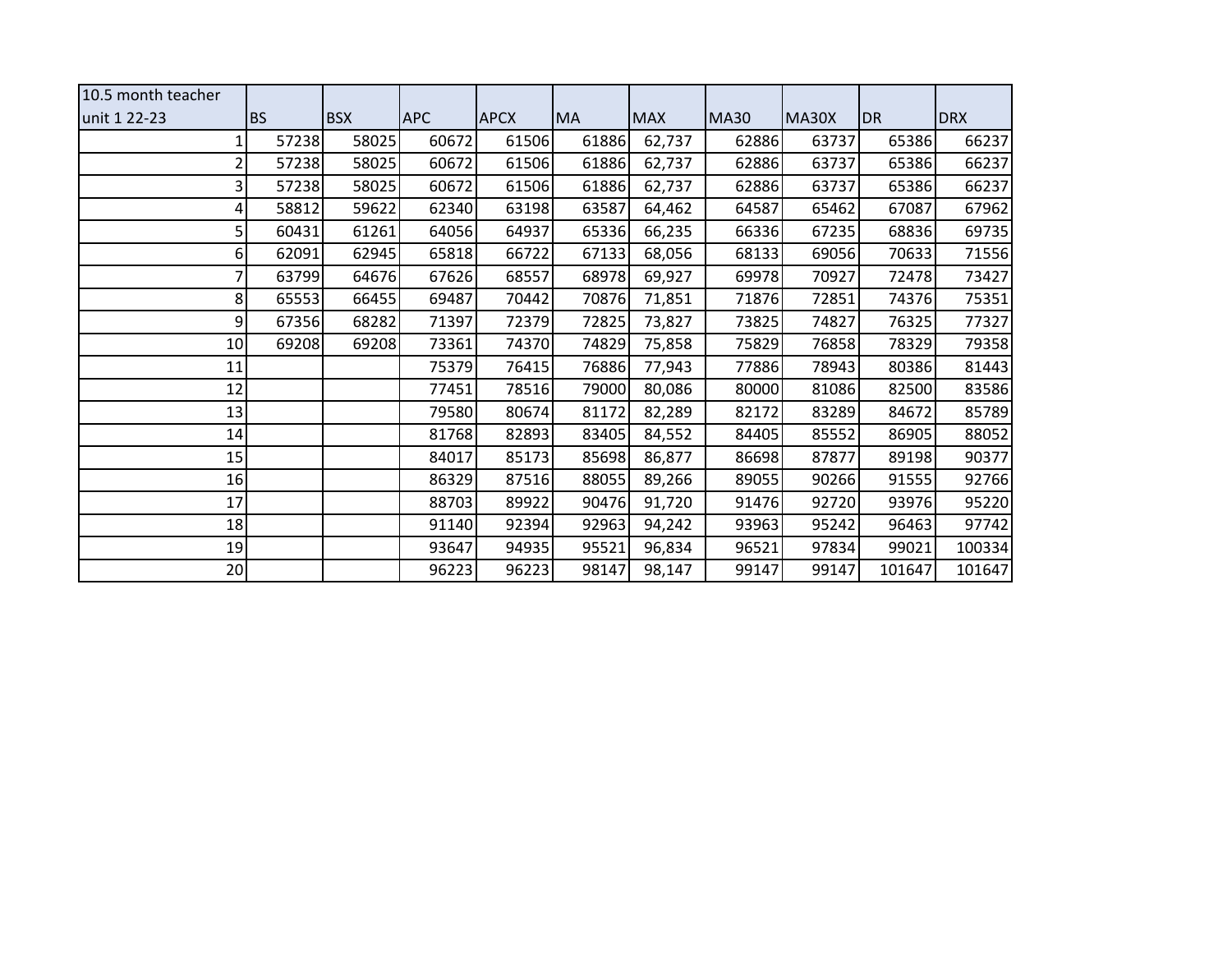| 10.5 month teacher |           |            |            |             |           |            |             |       |        |            |
|--------------------|-----------|------------|------------|-------------|-----------|------------|-------------|-------|--------|------------|
| unit 1 22-23       | <b>BS</b> | <b>BSX</b> | <b>APC</b> | <b>APCX</b> | <b>MA</b> | <b>MAX</b> | <b>MA30</b> | MA30X | DR     | <b>DRX</b> |
|                    | 57238     | 58025      | 60672      | 61506       | 61886     | 62,737     | 62886       | 63737 | 65386  | 66237      |
|                    | 57238     | 58025      | 60672      | 61506       | 61886     | 62,737     | 62886       | 63737 | 65386  | 66237      |
|                    | 57238     | 58025      | 60672      | 61506       | 61886     | 62,737     | 62886       | 63737 | 65386  | 66237      |
|                    | 58812     | 59622      | 62340      | 63198       | 63587     | 64,462     | 64587       | 65462 | 67087  | 67962      |
| 5                  | 60431     | 61261      | 64056      | 64937       | 65336     | 66,235     | 66336       | 67235 | 68836  | 69735      |
| 6                  | 62091     | 62945      | 65818      | 66722       | 67133     | 68,056     | 68133       | 69056 | 70633  | 71556      |
|                    | 63799     | 64676      | 67626      | 68557       | 68978     | 69,927     | 69978       | 70927 | 72478  | 73427      |
| 8                  | 65553     | 66455      | 69487      | 70442       | 70876     | 71,851     | 71876       | 72851 | 74376  | 75351      |
| 9                  | 67356     | 68282      | 71397      | 72379       | 72825     | 73,827     | 73825       | 74827 | 76325  | 77327      |
| 10                 | 69208     | 69208      | 73361      | 74370       | 74829     | 75,858     | 75829       | 76858 | 78329  | 79358      |
| 11                 |           |            | 75379      | 76415       | 76886     | 77,943     | 77886       | 78943 | 80386  | 81443      |
| 12                 |           |            | 77451      | 78516       | 79000     | 80,086     | 80000       | 81086 | 82500  | 83586      |
| 13                 |           |            | 79580      | 80674       | 81172     | 82,289     | 82172       | 83289 | 84672  | 85789      |
| 14                 |           |            | 81768      | 82893       | 83405     | 84,552     | 84405       | 85552 | 86905  | 88052      |
| 15                 |           |            | 84017      | 85173       | 85698     | 86,877     | 86698       | 87877 | 89198  | 90377      |
| 16                 |           |            | 86329      | 87516       | 88055     | 89,266     | 89055       | 90266 | 91555  | 92766      |
| 17                 |           |            | 88703      | 89922       | 90476     | 91,720     | 91476       | 92720 | 93976  | 95220      |
| 18                 |           |            | 91140      | 92394       | 92963     | 94,242     | 93963       | 95242 | 96463  | 97742      |
| 19                 |           |            | 93647      | 94935       | 95521     | 96,834     | 96521       | 97834 | 99021  | 100334     |
| 20                 |           |            | 96223      | 96223       | 98147     | 98,147     | 99147       | 99147 | 101647 | 101647     |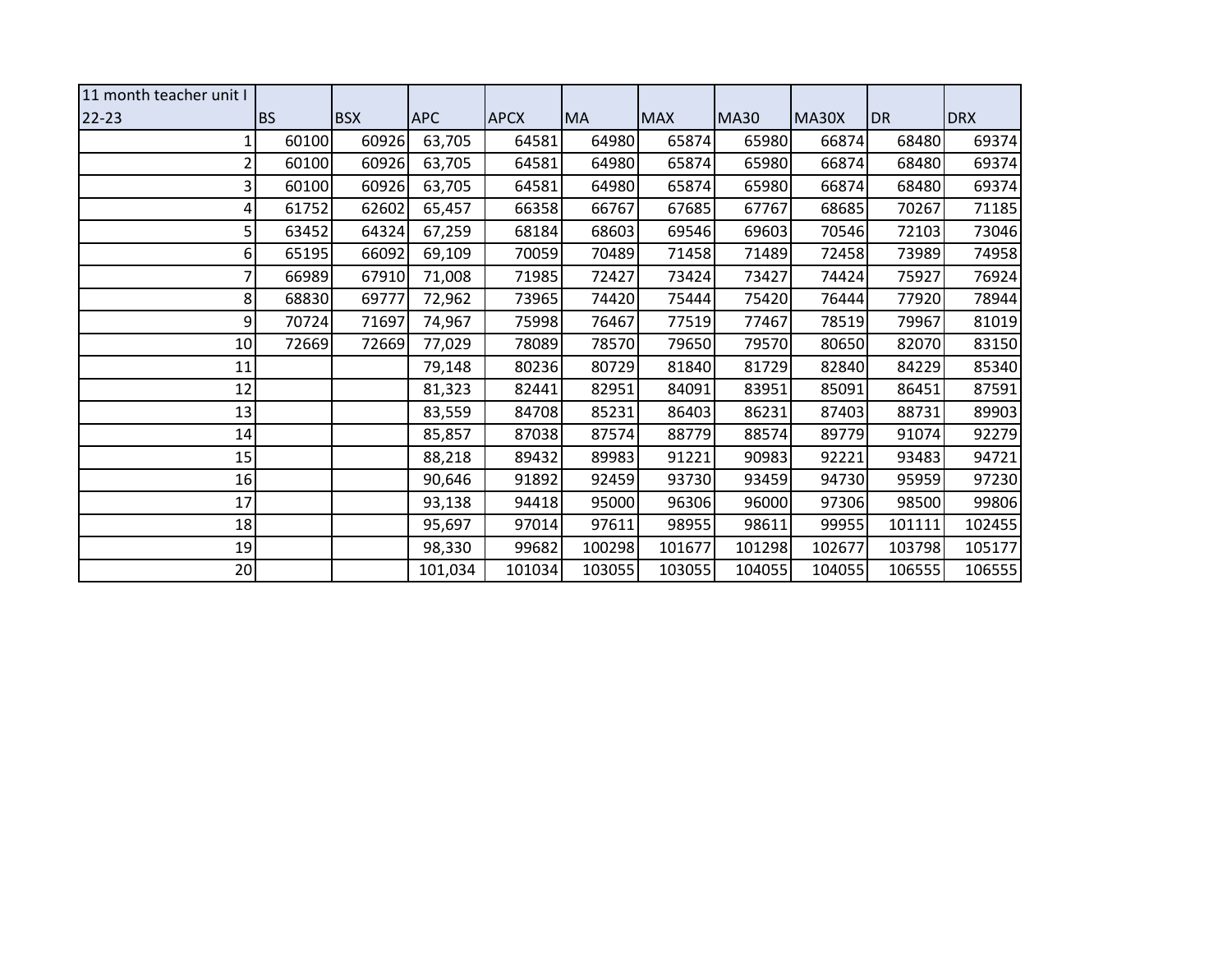| 11 month teacher unit I |           |            |            |             |           |            |             |        |           |            |
|-------------------------|-----------|------------|------------|-------------|-----------|------------|-------------|--------|-----------|------------|
| $22 - 23$               | <b>BS</b> | <b>BSX</b> | <b>APC</b> | <b>APCX</b> | <b>MA</b> | <b>MAX</b> | <b>MA30</b> | MA30X  | <b>DR</b> | <b>DRX</b> |
|                         | 60100     | 60926      | 63,705     | 64581       | 64980     | 65874      | 65980       | 66874  | 68480     | 69374      |
| 2                       | 60100     | 60926      | 63,705     | 64581       | 64980     | 65874      | 65980       | 66874  | 68480     | 69374      |
| 3                       | 60100     | 60926      | 63,705     | 64581       | 64980     | 65874      | 65980       | 66874  | 68480     | 69374      |
| 4                       | 61752     | 62602      | 65,457     | 66358       | 66767     | 67685      | 67767       | 68685  | 70267     | 71185      |
| 5                       | 63452     | 64324      | 67,259     | 68184       | 68603     | 69546      | 69603       | 70546  | 72103     | 73046      |
| 6                       | 65195     | 66092      | 69,109     | 70059       | 70489     | 71458      | 71489       | 72458  | 73989     | 74958      |
|                         | 66989     | 67910      | 71,008     | 71985       | 72427     | 73424      | 73427       | 74424  | 75927     | 76924      |
| 8                       | 68830     | 69777      | 72,962     | 73965       | 74420     | 75444      | 75420       | 76444  | 77920     | 78944      |
| 9                       | 70724     | 71697      | 74,967     | 75998       | 76467     | 77519      | 77467       | 78519  | 79967     | 81019      |
| 10                      | 72669     | 72669      | 77,029     | 78089       | 78570     | 79650      | 79570       | 80650  | 82070     | 83150      |
| 11                      |           |            | 79,148     | 80236       | 80729     | 81840      | 81729       | 82840  | 84229     | 85340      |
| 12                      |           |            | 81,323     | 82441       | 82951     | 84091      | 83951       | 85091  | 86451     | 87591      |
| 13                      |           |            | 83,559     | 84708       | 85231     | 86403      | 86231       | 87403  | 88731     | 89903      |
| 14                      |           |            | 85,857     | 87038       | 87574     | 88779      | 88574       | 89779  | 91074     | 92279      |
| 15                      |           |            | 88,218     | 89432       | 89983     | 91221      | 90983       | 92221  | 93483     | 94721      |
| 16                      |           |            | 90,646     | 91892       | 92459     | 93730      | 93459       | 94730  | 95959     | 97230      |
| 17                      |           |            | 93,138     | 94418       | 95000     | 96306      | 96000       | 97306  | 98500     | 99806      |
| 18                      |           |            | 95,697     | 97014       | 97611     | 98955      | 98611       | 99955  | 101111    | 102455     |
| 19                      |           |            | 98,330     | 99682       | 100298    | 101677     | 101298      | 102677 | 103798    | 105177     |
| 20                      |           |            | 101,034    | 101034      | 103055    | 103055     | 104055      | 104055 | 106555    | 106555     |